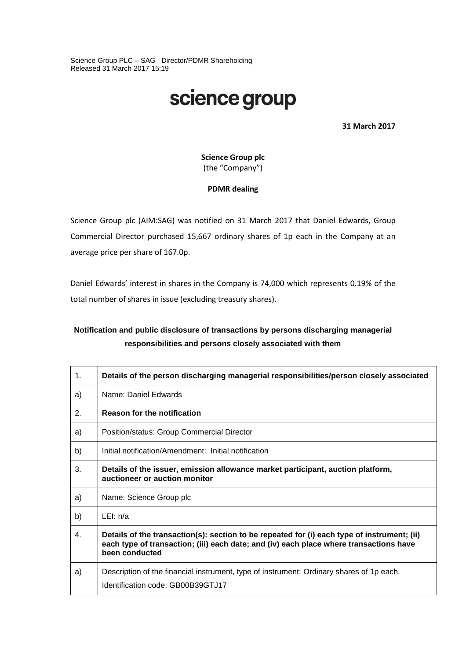Science Group PLC – SAG Director/PDMR Shareholding Released 31 March 2017 15:19

# science group

**31 March 2017**

**Science Group plc** (the "Company")

### **PDMR dealing**

Science Group plc (AIM:SAG) was notified on 31 March 2017 that Daniel Edwards, Group Commercial Director purchased 15,667 ordinary shares of 1p each in the Company at an average price per share of 167.0p.

Daniel Edwards' interest in shares in the Company is 74,000 which represents 0.19% of the total number of shares in issue (excluding treasury shares).

## **Notification and public disclosure of transactions by persons discharging managerial responsibilities and persons closely associated with them**

| $\mathbf{1}$ . | Details of the person discharging managerial responsibilities/person closely associated                                                                                                                 |  |  |
|----------------|---------------------------------------------------------------------------------------------------------------------------------------------------------------------------------------------------------|--|--|
| a)             | Name: Daniel Edwards                                                                                                                                                                                    |  |  |
| 2.             | <b>Reason for the notification</b>                                                                                                                                                                      |  |  |
| a)             | Position/status: Group Commercial Director                                                                                                                                                              |  |  |
| b)             | Initial notification/Amendment: Initial notification                                                                                                                                                    |  |  |
| 3.             | Details of the issuer, emission allowance market participant, auction platform,<br>auctioneer or auction monitor                                                                                        |  |  |
| a)             | Name: Science Group plc                                                                                                                                                                                 |  |  |
| b)             | LEI: $n/a$                                                                                                                                                                                              |  |  |
| 4.             | Details of the transaction(s): section to be repeated for (i) each type of instrument; (ii)<br>each type of transaction; (iii) each date; and (iv) each place where transactions have<br>been conducted |  |  |
| a)             | Description of the financial instrument, type of instrument: Ordinary shares of 1p each.<br>Identification code: GB00B39GTJ17                                                                           |  |  |